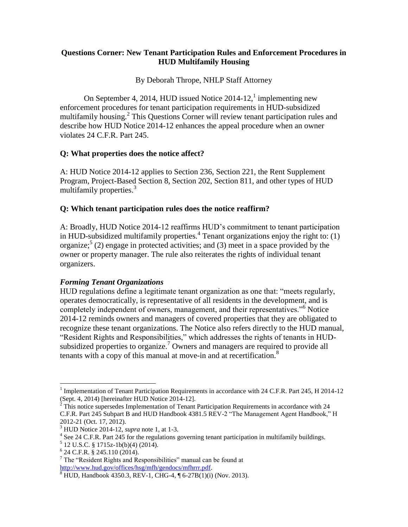### **Questions Corner: New Tenant Participation Rules and Enforcement Procedures in HUD Multifamily Housing**

By Deborah Thrope, NHLP Staff Attorney

On September 4, 2014, HUD issued Notice  $2014-12$ , implementing new enforcement procedures for tenant participation requirements in HUD-subsidized multifamily housing.<sup>2</sup> This Questions Corner will review tenant participation rules and describe how HUD Notice 2014-12 enhances the appeal procedure when an owner violates 24 C.F.R. Part 245.

## **Q: What properties does the notice affect?**

A: HUD Notice 2014-12 applies to Section 236, Section 221, the Rent Supplement Program, Project-Based Section 8, Section 202, Section 811, and other types of HUD multifamily properties.<sup>3</sup>

### **Q: Which tenant participation rules does the notice reaffirm?**

A: Broadly, HUD Notice 2014-12 reaffirms HUD's commitment to tenant participation in HUD-subsidized multifamily properties.<sup>4</sup> Tenant organizations enjoy the right to:  $(1)$ organize;  $(2)$  engage in protected activities; and (3) meet in a space provided by the owner or property manager. The rule also reiterates the rights of individual tenant organizers.

#### *Forming Tenant Organizations*

HUD regulations define a legitimate tenant organization as one that: "meets regularly, operates democratically, is representative of all residents in the development, and is completely independent of owners, management, and their representatives."<sup>6</sup> Notice 2014-12 reminds owners and managers of covered properties that they are obligated to recognize these tenant organizations. The Notice also refers directly to the HUD manual, "Resident Rights and Responsibilities," which addresses the rights of tenants in HUDsubsidized properties to organize.<sup>7</sup> Owners and managers are required to provide all tenants with a copy of this manual at move-in and at recertification.<sup>8</sup>

 $\overline{a}$ 

<sup>&</sup>lt;sup>1</sup> Implementation of Tenant Participation Requirements in accordance with 24 C.F.R. Part 245, H 2014-12 (Sept. 4, 2014) [hereinafter HUD Notice 2014-12].

 $2\hat{ }$  This notice supersedes Implementation of Tenant Participation Requirements in accordance with 24 C.F.R. Part 245 Subpart B and HUD Handbook 4381.5 REV-2 "The Management Agent Handbook," H 2012-21 (Oct. 17, 2012).

<sup>3</sup> HUD Notice 2014-12, *supra* note 1, at 1-3.

<sup>&</sup>lt;sup>4</sup> See 24 C.F.R. Part 245 for the regulations governing tenant participation in multifamily buildings.

 $5$  12 U.S.C. § 1715z-1b(b)(4) (2014).

<sup>6</sup> 24 C.F.R. § 245.110 (2014).

<sup>7</sup> The "Resident Rights and Responsibilities" manual can be found at [http://www.hud.gov/offices/hsg/mfh/gendocs/mfhrrr.pdf.](http://www.hud.gov/offices/hsg/mfh/gendocs/mfhrrr.pdf)

 $8$  HUD, Handbook 4350.3, REV-1, CHG-4,  $\sqrt{6}$ -27B(1)(i) (Nov. 2013).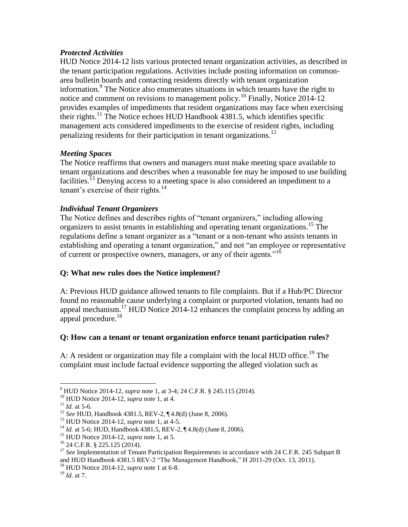### *Protected Activities*

HUD Notice 2014-12 lists various protected tenant organization activities, as described in the tenant participation regulations. Activities include posting information on commonarea bulletin boards and contacting residents directly with tenant organization information.<sup>9</sup> The Notice also enumerates situations in which tenants have the right to notice and comment on revisions to management policy.<sup>10</sup> Finally, Notice 2014-12 provides examples of impediments that resident organizations may face when exercising their rights.<sup>11</sup> The Notice echoes HUD Handbook 4381.5, which identifies specific management acts considered impediments to the exercise of resident rights, including penalizing residents for their participation in tenant organizations.<sup>12</sup>

### *Meeting Spaces*

The Notice reaffirms that owners and managers must make meeting space available to tenant organizations and describes when a reasonable fee may be imposed to use building facilities.<sup>13</sup> Denying access to a meeting space is also considered an impediment to a tenant's exercise of their rights. $14$ 

### *Individual Tenant Organizers*

The Notice defines and describes rights of "tenant organizers," including allowing organizers to assist tenants in establishing and operating tenant organizations.<sup>15</sup> The regulations define a tenant organizer as a "tenant or a non-tenant who assists tenants in establishing and operating a tenant organization," and not "an employee or representative of current or prospective owners, managers, or any of their agents."<sup>16</sup>

## **Q: What new rules does the Notice implement?**

A: Previous HUD guidance allowed tenants to file complaints. But if a Hub/PC Director found no reasonable cause underlying a complaint or purported violation, tenants had no appeal mechanism.<sup>17</sup> HUD Notice 2014-12 enhances the complaint process by adding an appeal procedure. $^{18}$ 

## **Q: How can a tenant or tenant organization enforce tenant participation rules?**

A: A resident or organization may file a complaint with the local HUD office.<sup>19</sup> The complaint must include factual evidence supporting the alleged violation such as

 $\overline{a}$ 

<sup>9</sup> HUD Notice 2014-12, *supra* note 1, at 3-4; 24 C.F.R. § 245.115 (2014).

<sup>10</sup> HUD Notice 2014-12, *supra* note 1, at 4.

 $11$  *Id.* at 5-6.

<sup>12</sup> *See* HUD, Handbook 4381.5, REV-2, ¶ 4.8(d) (June 8, 2006).

<sup>13</sup> HUD Notice 2014-12, *supra* note 1, at 4-5.

<sup>&</sup>lt;sup>14</sup> *Id.* at 5-6; HUD, Handbook 4381.5, REV-2, ¶ 4.8(d) (June 8, 2006).

<sup>15</sup> HUD Notice 2014-12, *supra* note 1, at 5.

<sup>16</sup> 24 C.F.R. § 225.125 (2014).

<sup>&</sup>lt;sup>17</sup> *See* Implementation of Tenant Participation Requirements in accordance with 24 C.F.R. 245 Subpart B and HUD Handbook 4381.5 REV-2 "The Management Handbook," H 2011-29 (Oct. 13, 2011).

<sup>18</sup> HUD Notice 2014-12, *supra* note 1 at 6-8.

<sup>19</sup> *Id.* at 7.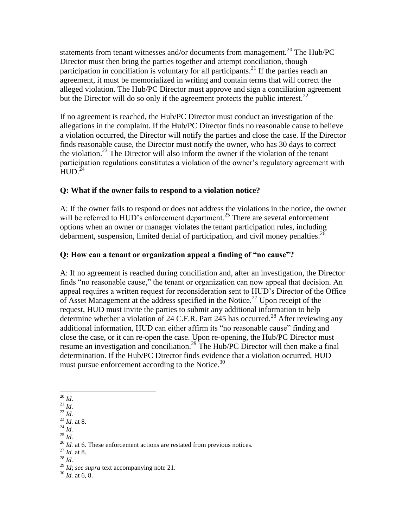statements from tenant witnesses and/or documents from management.<sup>20</sup> The Hub/PC Director must then bring the parties together and attempt conciliation, though participation in conciliation is voluntary for all participants.<sup>21</sup> If the parties reach an agreement, it must be memorialized in writing and contain terms that will correct the alleged violation. The Hub/PC Director must approve and sign a conciliation agreement but the Director will do so only if the agreement protects the public interest.<sup>22</sup>

If no agreement is reached, the Hub/PC Director must conduct an investigation of the allegations in the complaint. If the Hub/PC Director finds no reasonable cause to believe a violation occurred, the Director will notify the parties and close the case. If the Director finds reasonable cause, the Director must notify the owner, who has 30 days to correct the violation.<sup>23</sup> The Director will also inform the owner if the violation of the tenant participation regulations constitutes a violation of the owner's regulatory agreement with  $HUD.<sup>24</sup>$ 

## **Q: What if the owner fails to respond to a violation notice?**

A: If the owner fails to respond or does not address the violations in the notice, the owner will be referred to HUD's enforcement department.<sup>25</sup> There are several enforcement options when an owner or manager violates the tenant participation rules, including debarment, suspension, limited denial of participation, and civil money penalties.<sup>26</sup>

# **Q: How can a tenant or organization appeal a finding of "no cause"?**

A: If no agreement is reached during conciliation and, after an investigation, the Director finds "no reasonable cause," the tenant or organization can now appeal that decision. An appeal requires a written request for reconsideration sent to HUD's Director of the Office of Asset Management at the address specified in the Notice.<sup>27</sup> Upon receipt of the request, HUD must invite the parties to submit any additional information to help determine whether a violation of 24 C.F.R. Part 245 has occurred.<sup>28</sup> After reviewing any additional information, HUD can either affirm its "no reasonable cause" finding and close the case, or it can re-open the case. Upon re-opening, the Hub/PC Director must resume an investigation and conciliation.<sup>29</sup> The Hub/PC Director will then make a final determination. If the Hub/PC Director finds evidence that a violation occurred, HUD must pursue enforcement according to the Notice.<sup>30</sup>

- $\overline{a}$  $^{20}$  *Id.*
- $^{21}$  *Id.*
- $^{14}$   $^{22}$  *Id.*
- <sup>23</sup> *Id.* at 8.
- $^{24}$  *Id.* <sup>25</sup> *Id.*
- 

- <sup>27</sup> *Id.* at 8.
- <sup>28</sup> *Id.*

<sup>&</sup>lt;sup>26</sup> *Id.* at 6. These enforcement actions are restated from previous notices.

<sup>29</sup> *Id*; *see supra* text accompanying note 21.

<sup>30</sup> *Id.* at 6, 8.